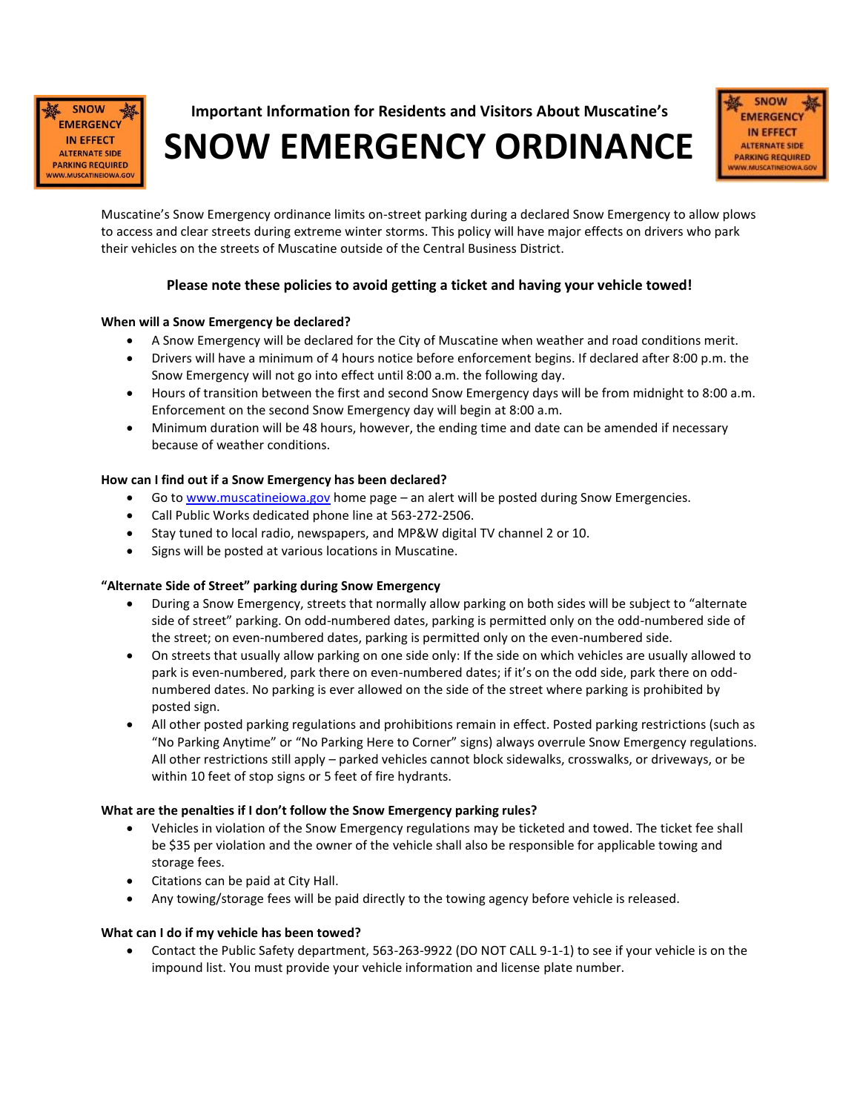

**Important Information for Residents and Visitors About Muscatine's**

**SNOW EMERGENCY ORDINANCE**



Muscatine's Snow Emergency ordinance limits on-street parking during a declared Snow Emergency to allow plows to access and clear streets during extreme winter storms. This policy will have major effects on drivers who park their vehicles on the streets of Muscatine outside of the Central Business District.

### **Please note these policies to avoid getting a ticket and having your vehicle towed!**

### **When will a Snow Emergency be declared?**

- A Snow Emergency will be declared for the City of Muscatine when weather and road conditions merit.
- Drivers will have a minimum of 4 hours notice before enforcement begins. If declared after 8:00 p.m. the Snow Emergency will not go into effect until 8:00 a.m. the following day.
- Hours of transition between the first and second Snow Emergency days will be from midnight to 8:00 a.m. Enforcement on the second Snow Emergency day will begin at 8:00 a.m.
- Minimum duration will be 48 hours, however, the ending time and date can be amended if necessary because of weather conditions.

#### **How can I find out if a Snow Emergency has been declared?**

- Go t[o www.muscatineiowa.gov](http://www.muscatineiowa.gov/) home page an alert will be posted during Snow Emergencies.
- Call Public Works dedicated phone line at 563-272-2506.
- Stay tuned to local radio, newspapers, and MP&W digital TV channel 2 or 10.
- Signs will be posted at various locations in Muscatine.

#### **"Alternate Side of Street" parking during Snow Emergency**

- During a Snow Emergency, streets that normally allow parking on both sides will be subject to "alternate side of street" parking. On odd-numbered dates, parking is permitted only on the odd-numbered side of the street; on even-numbered dates, parking is permitted only on the even-numbered side.
- On streets that usually allow parking on one side only: If the side on which vehicles are usually allowed to park is even-numbered, park there on even-numbered dates; if it's on the odd side, park there on oddnumbered dates. No parking is ever allowed on the side of the street where parking is prohibited by posted sign.
- All other posted parking regulations and prohibitions remain in effect. Posted parking restrictions (such as "No Parking Anytime" or "No Parking Here to Corner" signs) always overrule Snow Emergency regulations. All other restrictions still apply – parked vehicles cannot block sidewalks, crosswalks, or driveways, or be within 10 feet of stop signs or 5 feet of fire hydrants.

#### **What are the penalties if I don't follow the Snow Emergency parking rules?**

- Vehicles in violation of the Snow Emergency regulations may be ticketed and towed. The ticket fee shall be \$35 per violation and the owner of the vehicle shall also be responsible for applicable towing and storage fees.
- Citations can be paid at City Hall.
- Any towing/storage fees will be paid directly to the towing agency before vehicle is released.

#### **What can I do if my vehicle has been towed?**

 Contact the Public Safety department, 563-263-9922 (DO NOT CALL 9-1-1) to see if your vehicle is on the impound list. You must provide your vehicle information and license plate number.